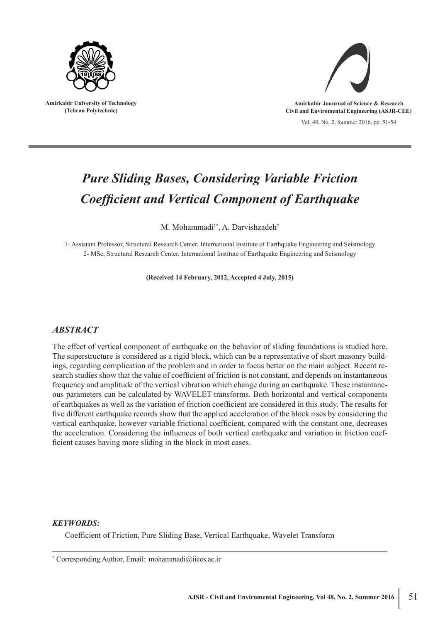

**Amirkabir University of Technology (Tehran Polytechnic)**



Vol. 48, No. 2, Summer 2016, pp. 51-54 **Amirkabir Jounrnal of Science & Research Civil and Enviromental Engineering (ASJR-CEE)**

# *Pure Sliding Bases, Considering Variable Friction Coefficient and Vertical Component of Earthquake*

M. Mohammadi<sup>1\*</sup>, A. Darvishzadeh<sup>2</sup>

1- Assistant Professor, Structural Research Center, International Institute of Earthquake Engineering and Seismology 2- MSc, Structural Research Center, International Institute of Earthquake Engineering and Seismology

**(Received 14 February, 2012, Accepted 4 July, 2015)**

# *ABSTRACT*

The effect of vertical component of earthquake on the behavior of sliding foundations is studied here. The superstructure is considered as a rigid block, which can be a representative of short masonry buildings, regarding complication of the problem and in order to focus better on the main subject. Recent research studies show that the value of coefficient of friction is not constant, and depends on instantaneous frequency and amplitude of the vertical vibration which change during an earthquake. These instantaneous parameters can be calculated by WAVELET transforms. Both horizontal and vertical components of earthquakes as well as the variation of friction coefficient are considered in this study. The results for five different earthquake records show that the applied acceleration of the block rises by considering the vertical earthquake, however variable frictional coefficient, compared with the constant one, decreases the acceleration. Considering the influences of both vertical earthquake and variation in friction coefficient causes having more sliding in the block in most cases.

# *KEYWORDS:*

Coefficient of Friction, Pure Sliding Base, Vertical Earthquake, Wavelet Transform

<sup>\*</sup> Corresponding Author, Email: mohammadi@iiees.ac.ir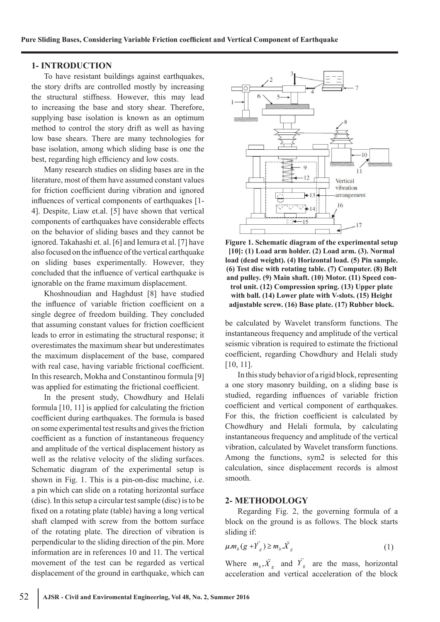## **1- INTRODUCTION**

To have resistant buildings against earthquakes, the story drifts are controlled mostly by increasing the structural stiffness. However, this may lead to increasing the base and story shear. Therefore, supplying base isolation is known as an optimum method to control the story drift as well as having low base shears. There are many technologies for base isolation, among which sliding base is one the best, regarding high efficiency and low costs.

Many research studies on sliding bases are in the literature, most of them have assumed constant values for friction coefficient during vibration and ignored influences of vertical components of earthquakes [1- 4]. Despite, Liaw et.al. [5] have shown that vertical components of earthquakes have considerable effects on the behavior of sliding bases and they cannot be ignored. Takahashi et. al. [6] and Iemura et al. [7] have also focused on the influence of the vertical earthquake on sliding bases experimentally. However, they concluded that the influence of vertical earthquake is ignorable on the frame maximum displacement.

Khoshnoudian and Haghdust [8] have studied the influence of variable friction coefficient on a single degree of freedom building. They concluded that assuming constant values for friction coefficient leads to error in estimating the structural response; it overestimates the maximum shear but underestimates the maximum displacement of the base, compared with real case, having variable frictional coefficient. In this research, Mokha and Constantinou formula [9] was applied for estimating the frictional coefficient.

In the present study, Chowdhury and Helali formula [10, 11] is applied for calculating the friction coefficient during earthquakes. The formula is based on some experimental test results and gives the friction coefficient as a function of instantaneous frequency and amplitude of the vertical displacement history as well as the relative velocity of the sliding surfaces. Schematic diagram of the experimental setup is shown in Fig. 1. This is a pin-on-disc machine, i.e. a pin which can slide on a rotating horizontal surface (disc). In this setup a circular test sample (disc) is to be fixed on a rotating plate (table) having a long vertical shaft clamped with screw from the bottom surface of the rotating plate. The direction of vibration is perpendicular to the sliding direction of the pin. More information are in references 10 and 11. The vertical movement of the test can be regarded as vertical displacement of the ground in earthquake, which can



**Figure 1. Schematic diagram of the experimental setup [10]: (1) Load arm holder. (2) Load arm. (3). Normal load (dead weight). (4) Horizontal load. (5) Pin sample. (6) Test disc with rotating table. (7) Computer. (8) Belt and pulley. (9) Main shaft. (10) Motor. (11) Speed control unit. (12) Compression spring. (13) Upper plate with ball. (14) Lower plate with V-slots. (15) Height adjustable screw. (16) Base plate. (17) Rubber block.**

be calculated by Wavelet transform functions. The instantaneous frequency and amplitude of the vertical seismic vibration is required to estimate the frictional coefficient, regarding Chowdhury and Helali study [10, 11].

In this study behavior of a rigid block, representing a one story masonry building, on a sliding base is studied, regarding influences of variable friction coefficient and vertical component of earthquakes. For this, the friction coefficient is calculated by Chowdhury and Helali formula, by calculating instantaneous frequency and amplitude of the vertical vibration, calculated by Wavelet transform functions. Among the functions, sym2 is selected for this calculation, since displacement records is almost smooth.

#### **2- METHODOLOGY**

Regarding Fig. 2, the governing formula of a block on the ground is as follows. The block starts sliding if:

$$
\mu.m_b(g+\stackrel{\cdot}{Y}_g) \geq m_b \stackrel{\cdot}{X}_g \tag{1}
$$

Where  $m_b, \ddot{x}_g$  and  $\ddot{Y}_g$  are the mass, horizontal acceleration and vertical acceleration of the block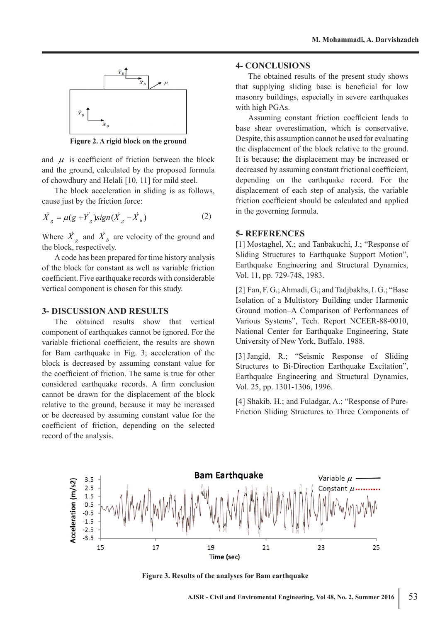

**Figure 2. A rigid block on the ground**

and  $\mu$  is coefficient of friction between the block and the ground, calculated by the proposed formula of chowdhury and Helali [10, 11] for mild steel.

The block acceleration in sliding is as follows, cause just by the friction force:

$$
\ddot{X}_g = \mu(g + \ddot{Y}_g) sign(\dot{X}_g - \dot{X}_b)
$$
 (2)

Where  $\overrightarrow{X}_g$  and  $\overrightarrow{X}_b$  are velocity of the ground and the block, respectively.

A code has been prepared for time history analysis of the block for constant as well as variable friction coefficient. Five earthquake records with considerable vertical component is chosen for this study.

#### **3- DISCUSSION AND RESULTS**

The obtained results show that vertical component of earthquakes cannot be ignored. For the variable frictional coefficient, the results are shown for Bam earthquake in Fig. 3; acceleration of the block is decreased by assuming constant value for the coefficient of friction. The same is true for other considered earthquake records. A firm conclusion cannot be drawn for the displacement of the block relative to the ground, because it may be increased or be decreased by assuming constant value for the coefficient of friction, depending on the selected record of the analysis.

## **4- CONCLUSIONS**

The obtained results of the present study shows that supplying sliding base is beneficial for low masonry buildings, especially in severe earthquakes with high PGAs.

Assuming constant friction coefficient leads to base shear overestimation, which is conservative. Despite, this assumption cannot be used for evaluating the displacement of the block relative to the ground. It is because; the displacement may be increased or decreased by assuming constant frictional coefficient, depending on the earthquake record. For the displacement of each step of analysis, the variable friction coefficient should be calculated and applied in the governing formula.

#### **5- REFERENCES**

[1] Mostaghel, X.; and Tanbakuchi, J.; "Response of Sliding Structures to Earthquake Support Motion", Earthquake Engineering and Structural Dynamics, Vol. 11, pp. 729-748, 1983.

[2] Fan, F. G.; Ahmadi, G.; and Tadjbakhs, I. G.; "Base Isolation of a Multistory Building under Harmonic Ground motion–A Comparison of Performances of Various Systems", Tech. Report NCEER-88-0010, National Center for Earthquake Engineering, State University of New York, Buffalo. 1988.

[3] Jangid, R.; "Seismic Response of Sliding Structures to Bi-Direction Earthquake Excitation", Earthquake Engineering and Structural Dynamics, Vol. 25, pp. 1301-1306, 1996.

[4] Shakib, H.; and Fuladgar, A.; "Response of Pure-Friction Sliding Structures to Three Components of



**Figure 3. Results of the analyses for Bam earthquake**